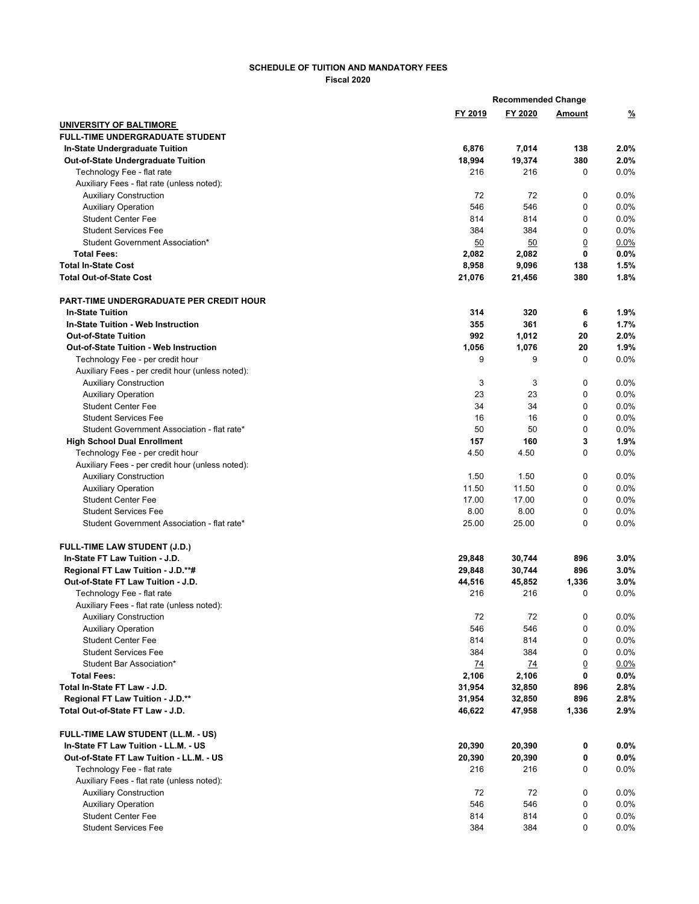## **SCHEDULE OF TUITION AND MANDATORY FEES Fiscal 2020**

|                                                  |         | <b>Recommended Change</b> |                |               |  |
|--------------------------------------------------|---------|---------------------------|----------------|---------------|--|
|                                                  | FY 2019 | FY 2020                   | Amount         | $\frac{9}{6}$ |  |
| UNIVERSITY OF BALTIMORE                          |         |                           |                |               |  |
| <b>FULL-TIME UNDERGRADUATE STUDENT</b>           |         |                           |                |               |  |
| <b>In-State Undergraduate Tuition</b>            | 6,876   | 7,014                     | 138            | 2.0%          |  |
| Out-of-State Undergraduate Tuition               | 18,994  | 19,374                    | 380            | 2.0%          |  |
| Technology Fee - flat rate                       | 216     | 216                       | 0              | 0.0%          |  |
| Auxiliary Fees - flat rate (unless noted):       |         |                           |                |               |  |
| <b>Auxiliary Construction</b>                    | 72      | 72                        | 0              | 0.0%          |  |
| <b>Auxiliary Operation</b>                       | 546     | 546                       | $\mathbf 0$    | 0.0%          |  |
| <b>Student Center Fee</b>                        | 814     | 814                       | 0              | 0.0%          |  |
| <b>Student Services Fee</b>                      | 384     | 384                       | 0              | 0.0%          |  |
| Student Government Association*                  | 50      | 50                        | $\overline{0}$ | 0.0%          |  |
| <b>Total Fees:</b>                               | 2,082   | 2,082                     | 0              | $0.0\%$       |  |
| <b>Total In-State Cost</b>                       | 8,958   | 9,096                     | 138            | 1.5%          |  |
| <b>Total Out-of-State Cost</b>                   | 21,076  | 21,456                    | 380            | 1.8%          |  |
| <b>PART-TIME UNDERGRADUATE PER CREDIT HOUR</b>   |         |                           |                |               |  |
| <b>In-State Tuition</b>                          | 314     | 320                       | 6              | 1.9%          |  |
| In-State Tuition - Web Instruction               | 355     | 361                       | 6              | 1.7%          |  |
| <b>Out-of-State Tuition</b>                      | 992     | 1,012                     | 20             | 2.0%          |  |
| <b>Out-of-State Tuition - Web Instruction</b>    | 1,056   | 1,076                     | 20             | 1.9%          |  |
| Technology Fee - per credit hour                 | 9       | 9                         | 0              | 0.0%          |  |
| Auxiliary Fees - per credit hour (unless noted): |         |                           |                |               |  |
| <b>Auxiliary Construction</b>                    | 3       | 3                         | 0              | 0.0%          |  |
| <b>Auxiliary Operation</b>                       | 23      | 23                        | 0              | 0.0%          |  |
| <b>Student Center Fee</b>                        | 34      | 34                        | 0              | 0.0%          |  |
| <b>Student Services Fee</b>                      | 16      | 16                        | 0              | 0.0%          |  |
| Student Government Association - flat rate*      | 50      | 50                        | 0              | 0.0%          |  |
| <b>High School Dual Enrollment</b>               | 157     | 160                       | 3              | 1.9%          |  |
| Technology Fee - per credit hour                 | 4.50    | 4.50                      | $\mathbf 0$    | 0.0%          |  |
| Auxiliary Fees - per credit hour (unless noted): |         |                           |                |               |  |
| <b>Auxiliary Construction</b>                    | 1.50    | 1.50                      | 0              | 0.0%          |  |
| <b>Auxiliary Operation</b>                       | 11.50   | 11.50                     | 0              | 0.0%          |  |
| <b>Student Center Fee</b>                        | 17.00   | 17.00                     | 0              | 0.0%          |  |
| <b>Student Services Fee</b>                      | 8.00    | 8.00                      | 0              | 0.0%          |  |
| Student Government Association - flat rate*      | 25.00   | 25.00                     | 0              | 0.0%          |  |
| <b>FULL-TIME LAW STUDENT (J.D.)</b>              |         |                           |                |               |  |
| In-State FT Law Tuition - J.D.                   | 29,848  | 30,744                    | 896            | $3.0\%$       |  |
| Regional FT Law Tuition - J.D.**#                | 29,848  | 30,744                    | 896            | $3.0\%$       |  |
| Out-of-State FT Law Tuition - J.D.               | 44,516  | 45,852                    | 1,336          | 3.0%          |  |
| Technology Fee - flat rate                       | 216     | 216                       | 0              | 0.0%          |  |
| Auxiliary Fees - flat rate (unless noted):       |         |                           |                |               |  |
| <b>Auxiliary Construction</b>                    | 72      | 72                        | 0              | 0.0%          |  |
| <b>Auxiliary Operation</b>                       | 546     | 546                       | 0              | 0.0%          |  |
| <b>Student Center Fee</b>                        | 814     | 814                       | 0              | 0.0%          |  |
| <b>Student Services Fee</b>                      | 384     | 384                       | 0              | 0.0%          |  |
| Student Bar Association*                         | 74      | 74                        | $\overline{0}$ | 0.0%          |  |
| <b>Total Fees:</b>                               | 2,106   | 2,106                     | 0              | 0.0%          |  |
| Total In-State FT Law - J.D.                     | 31,954  | 32,850                    | 896            | 2.8%          |  |
| Regional FT Law Tuition - J.D.**                 | 31,954  | 32,850                    | 896            | 2.8%          |  |
| Total Out-of-State FT Law - J.D.                 | 46,622  | 47,958                    | 1,336          | 2.9%          |  |
| FULL-TIME LAW STUDENT (LL.M. - US)               |         |                           |                |               |  |
| In-State FT Law Tuition - LL.M. - US             | 20,390  | 20,390                    | 0              | $0.0\%$       |  |
| Out-of-State FT Law Tuition - LL.M. - US         | 20,390  | 20,390                    | 0              | $0.0\%$       |  |
| Technology Fee - flat rate                       | 216     | 216                       | 0              | 0.0%          |  |
| Auxiliary Fees - flat rate (unless noted):       |         |                           |                |               |  |
| <b>Auxiliary Construction</b>                    | 72      | 72                        | 0              | 0.0%          |  |
| <b>Auxiliary Operation</b>                       | 546     | 546                       | 0              | 0.0%          |  |
| <b>Student Center Fee</b>                        | 814     | 814                       | 0              | 0.0%          |  |
| <b>Student Services Fee</b>                      | 384     | 384                       | 0              | $0.0\%$       |  |
|                                                  |         |                           |                |               |  |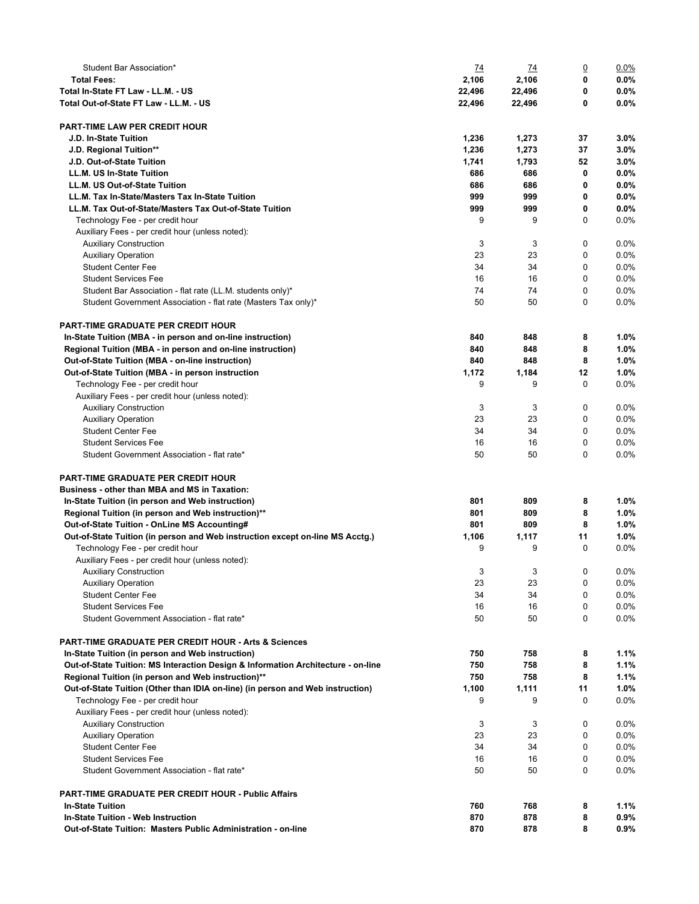| Student Bar Association*                                                          | <u>74</u> | $\overline{14}$ | $\overline{0}$ | $0.0\%$ |
|-----------------------------------------------------------------------------------|-----------|-----------------|----------------|---------|
| <b>Total Fees:</b>                                                                | 2,106     | 2,106           | 0              | 0.0%    |
| Total In-State FT Law - LL.M. - US                                                | 22,496    | 22,496          | 0              | $0.0\%$ |
| Total Out-of-State FT Law - LL.M. - US                                            | 22,496    | 22,496          | 0              | $0.0\%$ |
|                                                                                   |           |                 |                |         |
| <b>PART-TIME LAW PER CREDIT HOUR</b>                                              |           |                 |                |         |
| J.D. In-State Tuition                                                             | 1,236     | 1,273           | 37             | $3.0\%$ |
| J.D. Regional Tuition**                                                           | 1,236     | 1,273           | 37             | $3.0\%$ |
| J.D. Out-of-State Tuition                                                         | 1,741     | 1,793           | 52             | 3.0%    |
| <b>LL.M. US In-State Tuition</b>                                                  | 686       | 686             | 0              | $0.0\%$ |
| LL.M. US Out-of-State Tuition                                                     | 686       | 686             | 0              | $0.0\%$ |
| LL.M. Tax In-State/Masters Tax In-State Tuition                                   | 999       | 999             | 0              | $0.0\%$ |
| LL.M. Tax Out-of-State/Masters Tax Out-of-State Tuition                           | 999       | 999             | 0              | $0.0\%$ |
| Technology Fee - per credit hour                                                  | 9         | 9               | 0              | 0.0%    |
|                                                                                   |           |                 |                |         |
| Auxiliary Fees - per credit hour (unless noted):<br><b>Auxiliary Construction</b> | 3         | 3               | 0              | 0.0%    |
|                                                                                   |           |                 |                |         |
| <b>Auxiliary Operation</b>                                                        | 23        | 23              | 0              | 0.0%    |
| <b>Student Center Fee</b>                                                         | 34        | 34              | 0              | 0.0%    |
| <b>Student Services Fee</b>                                                       | 16        | 16              | 0              | 0.0%    |
| Student Bar Association - flat rate (LL.M. students only)*                        | 74        | 74              | 0              | 0.0%    |
| Student Government Association - flat rate (Masters Tax only)*                    | 50        | 50              | 0              | 0.0%    |
|                                                                                   |           |                 |                |         |
| <b>PART-TIME GRADUATE PER CREDIT HOUR</b>                                         |           |                 |                |         |
| In-State Tuition (MBA - in person and on-line instruction)                        | 840       | 848             | 8              | 1.0%    |
| Regional Tuition (MBA - in person and on-line instruction)                        | 840       | 848             | 8              | 1.0%    |
| Out-of-State Tuition (MBA - on-line instruction)                                  | 840       | 848             | 8              | 1.0%    |
| Out-of-State Tuition (MBA - in person instruction                                 | 1,172     | 1,184           | 12             | 1.0%    |
| Technology Fee - per credit hour                                                  | 9         | 9               | 0              | 0.0%    |
| Auxiliary Fees - per credit hour (unless noted):                                  |           |                 |                |         |
| <b>Auxiliary Construction</b>                                                     | 3         | 3               | 0              | 0.0%    |
| <b>Auxiliary Operation</b>                                                        | 23        | 23              | 0              | 0.0%    |
| <b>Student Center Fee</b>                                                         | 34        | 34              | 0              | 0.0%    |
| <b>Student Services Fee</b>                                                       | 16        | 16              | 0              | 0.0%    |
| Student Government Association - flat rate*                                       | 50        | 50              | 0              | 0.0%    |
|                                                                                   |           |                 |                |         |
| <b>PART-TIME GRADUATE PER CREDIT HOUR</b>                                         |           |                 |                |         |
| Business - other than MBA and MS in Taxation:                                     |           |                 |                |         |
| In-State Tuition (in person and Web instruction)                                  | 801       | 809             | 8              | 1.0%    |
| Regional Tuition (in person and Web instruction)**                                | 801       | 809             | 8              | 1.0%    |
| Out-of-State Tuition - OnLine MS Accounting#                                      | 801       | 809             | 8              | 1.0%    |
|                                                                                   |           |                 | 11             | 1.0%    |
| Out-of-State Tuition (in person and Web instruction except on-line MS Acctg.)     | 1,106     | 1,117           |                |         |
| Technology Fee - per credit hour                                                  | 9         | 9               | 0              | 0.0%    |
| Auxiliary Fees - per credit hour (unless noted):                                  |           |                 |                |         |
| <b>Auxiliary Construction</b>                                                     | 3         | 3               | 0              | 0.0%    |
| <b>Auxiliary Operation</b>                                                        | 23        | 23              | 0              | $0.0\%$ |
| <b>Student Center Fee</b>                                                         | 34        | 34              | 0              | 0.0%    |
| <b>Student Services Fee</b>                                                       | 16        | 16              | 0              | 0.0%    |
| Student Government Association - flat rate*                                       | 50        | 50              | 0              | $0.0\%$ |
|                                                                                   |           |                 |                |         |
| <b>PART-TIME GRADUATE PER CREDIT HOUR - Arts &amp; Sciences</b>                   |           |                 |                |         |
| In-State Tuition (in person and Web instruction)                                  | 750       | 758             | 8              | $1.1\%$ |
| Out-of-State Tuition: MS Interaction Design & Information Architecture - on-line  | 750       | 758             | 8              | 1.1%    |
| Regional Tuition (in person and Web instruction)**                                | 750       | 758             | 8              | 1.1%    |
| Out-of-State Tuition (Other than IDIA on-line) (in person and Web instruction)    | 1,100     | 1,111           | 11             | 1.0%    |
| Technology Fee - per credit hour                                                  | 9         | 9               | 0              | $0.0\%$ |
| Auxiliary Fees - per credit hour (unless noted):                                  |           |                 |                |         |
| <b>Auxiliary Construction</b>                                                     | 3         | 3               | 0              | 0.0%    |
| <b>Auxiliary Operation</b>                                                        | 23        | 23              | 0              | 0.0%    |
| <b>Student Center Fee</b>                                                         | 34        | 34              | 0              | 0.0%    |
| <b>Student Services Fee</b>                                                       | 16        | 16              | 0              | $0.0\%$ |
| Student Government Association - flat rate*                                       | 50        | 50              | 0              | $0.0\%$ |
|                                                                                   |           |                 |                |         |
| <b>PART-TIME GRADUATE PER CREDIT HOUR - Public Affairs</b>                        |           |                 |                |         |
| <b>In-State Tuition</b>                                                           | 760       | 768             | 8              | 1.1%    |
| In-State Tuition - Web Instruction                                                | 870       | 878             | 8              | 0.9%    |
| Out-of-State Tuition: Masters Public Administration - on-line                     | 870       | 878             | 8              | $0.9\%$ |
|                                                                                   |           |                 |                |         |